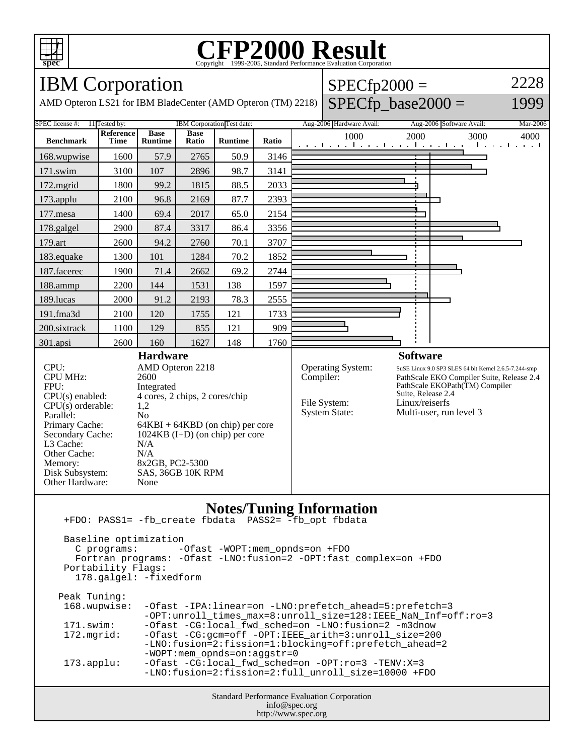

### **CFP2000 Result** Copyright 1999-2005, Standard Performance Evaluation Corporation

## IBM Corporation

AMD Opteron LS21 for IBM BladeCenter (AMD Opteron (TM) 2218)

#### $SPECfp2000 =$  $SPECfp\_base2000 =$ 2228

1999



Standard Performance Evaluation Corporation info@spec.org http://www.spec.org